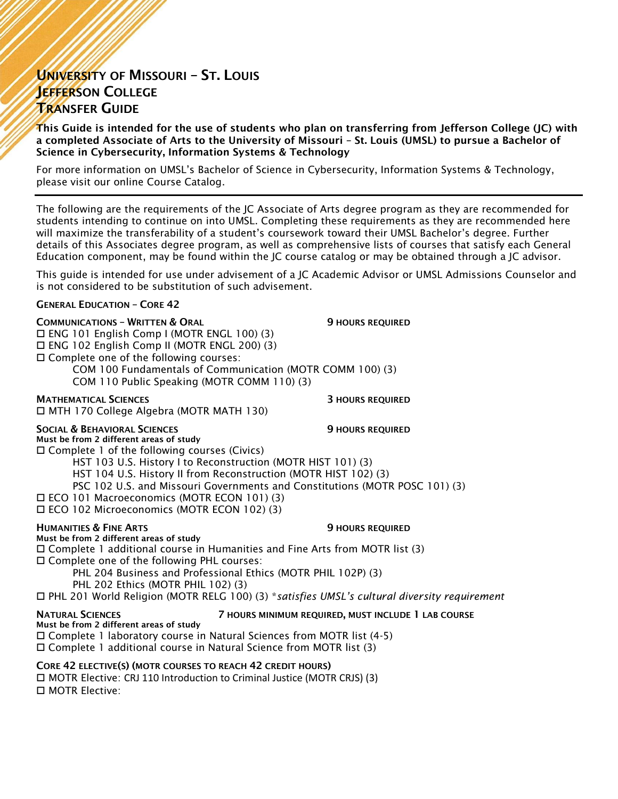# UNIVERSITY OF MISSOURI – ST. LOUIS JEFFERSON COLLEGE TRANSFER GUIDE

This Guide is intended for the use of students who plan on transferring from Jefferson College (JC) with a completed Associate of Arts to the University of Missouri – St. Louis (UMSL) to pursue a Bachelor of Science in Cybersecurity, Information Systems & Technology

For more information on UMSL's Bachelor of Science in Cybersecurity, Information Systems & Technology, please visit our online Course Catalog.

The following are the requirements of the JC Associate of Arts degree program as they are recommended for students intending to continue on into UMSL. Completing these requirements as they are recommended here will maximize the transferability of a student's coursework toward their UMSL Bachelor's degree. Further details of this Associates degree program, as well as comprehensive lists of courses that satisfy each General Education component, may be found within the JC course catalog or may be obtained through a JC advisor.

This guide is intended for use under advisement of a JC Academic Advisor or UMSL Admissions Counselor and is not considered to be substitution of such advisement.

#### GENERAL EDUCATION – CORE 42

COMMUNICATIONS – WRITTEN & ORAL 9 HOURS REQUIRED ENG 101 English Comp I (MOTR ENGL 100) (3) ENG 102 English Comp II (MOTR ENGL 200) (3) □ Complete one of the following courses: COM 100 Fundamentals of Communication (MOTR COMM 100) (3) COM 110 Public Speaking (MOTR COMM 110) (3)

MATHEMATICAL SCIENCES 3 HOURS REQUIRED MTH 170 College Algebra (MOTR MATH 130)

### SOCIAL & BEHAVIORAL SCIENCES 9 HOURS REQUIRED

Must be from 2 different areas of study  $\square$  Complete 1 of the following courses (Civics)

HST 103 U.S. History I to Reconstruction (MOTR HIST 101) (3)

HST 104 U.S. History II from Reconstruction (MOTR HIST 102) (3)

PSC 102 U.S. and Missouri Governments and Constitutions (MOTR POSC 101) (3)

- ECO 101 Macroeconomics (MOTR ECON 101) (3)
- ECO 102 Microeconomics (MOTR ECON 102) (3)

HUMANITIES & FINE ARTS **9 HOURS REQUIRED** 

#### Must be from 2 different areas of study

Complete 1 additional course in Humanities and Fine Arts from MOTR list (3)

Complete one of the following PHL courses:

PHL 204 Business and Professional Ethics (MOTR PHIL 102P) (3)

PHL 202 Ethics (MOTR PHIL 102) (3)

PHL 201 World Religion (MOTR RELG 100) (3) \**satisfies UMSL's cultural diversity requirement*

#### NATURAL SCIENCES 7 HOURS MINIMUM REQUIRED, MUST INCLUDE 1 LAB COURSE

Must be from 2 different areas of study

Complete 1 laboratory course in Natural Sciences from MOTR list (4-5)

Complete 1 additional course in Natural Science from MOTR list (3)

## CORE 42 ELECTIVE(S) (MOTR COURSES TO REACH 42 CREDIT HOURS)

□ MOTR Elective: CRJ 110 Introduction to Criminal Justice (MOTR CRJS) (3) □ MOTR Elective: